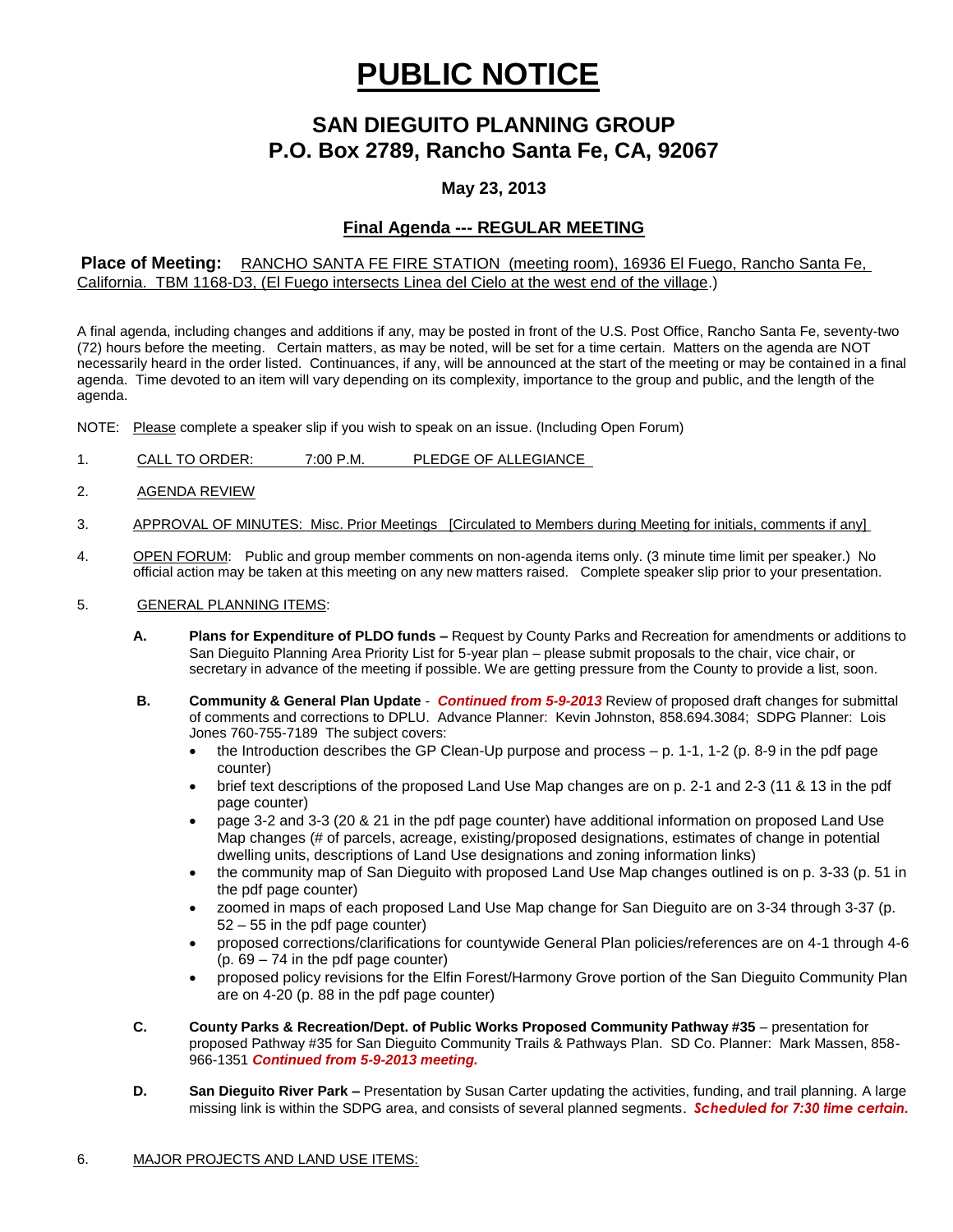# **PUBLIC NOTICE**

# **SAN DIEGUITO PLANNING GROUP P.O. Box 2789, Rancho Santa Fe, CA, 92067**

## **May 23, 2013**

#### **Final Agenda --- REGULAR MEETING**

#### **Place of Meeting:** RANCHO SANTA FE FIRE STATION (meeting room), 16936 El Fuego, Rancho Santa Fe, California. TBM 1168-D3, (El Fuego intersects Linea del Cielo at the west end of the village.)

A final agenda, including changes and additions if any, may be posted in front of the U.S. Post Office, Rancho Santa Fe, seventy-two (72) hours before the meeting. Certain matters, as may be noted, will be set for a time certain. Matters on the agenda are NOT necessarily heard in the order listed. Continuances, if any, will be announced at the start of the meeting or may be contained in a final agenda. Time devoted to an item will vary depending on its complexity, importance to the group and public, and the length of the agenda.

NOTE: Please complete a speaker slip if you wish to speak on an issue. (Including Open Forum)

- 1. CALL TO ORDER: 7:00 P.M. PLEDGE OF ALLEGIANCE
- 2. AGENDA REVIEW
- 3. APPROVAL OF MINUTES: Misc. Prior Meetings [Circulated to Members during Meeting for initials, comments if any]
- 4. OPEN FORUM: Public and group member comments on non-agenda items only. (3 minute time limit per speaker.) No official action may be taken at this meeting on any new matters raised. Complete speaker slip prior to your presentation.

#### 5. GENERAL PLANNING ITEMS:

- **A. Plans for Expenditure of PLDO funds –** Request by County Parks and Recreation for amendments or additions to San Dieguito Planning Area Priority List for 5-year plan – please submit proposals to the chair, vice chair, or secretary in advance of the meeting if possible. We are getting pressure from the County to provide a list, soon.
- **B. Community & General Plan Update** *Continued from 5-9-2013* Review of proposed draft changes for submittal of comments and corrections to DPLU. Advance Planner: Kevin Johnston, 858.694.3084; SDPG Planner: Lois Jones 760-755-7189 The subject covers:
	- the Introduction describes the GP Clean-Up purpose and process p. 1-1, 1-2 (p. 8-9 in the pdf page counter)
	- brief text descriptions of the proposed Land Use Map changes are on p. 2-1 and 2-3 (11 & 13 in the pdf page counter)
	- page 3-2 and 3-3 (20 & 21 in the pdf page counter) have additional information on proposed Land Use Map changes (# of parcels, acreage, existing/proposed designations, estimates of change in potential dwelling units, descriptions of Land Use designations and zoning information links)
	- the community map of San Dieguito with proposed Land Use Map changes outlined is on p. 3-33 (p. 51 in the pdf page counter)
	- zoomed in maps of each proposed Land Use Map change for San Dieguito are on 3-34 through 3-37 (p. 52 – 55 in the pdf page counter)
	- proposed corrections/clarifications for countywide General Plan policies/references are on 4-1 through 4-6 (p. 69 – 74 in the pdf page counter)
	- proposed policy revisions for the Elfin Forest/Harmony Grove portion of the San Dieguito Community Plan are on 4-20 (p. 88 in the pdf page counter)
- **C. County Parks & Recreation/Dept. of Public Works Proposed Community Pathway #35** presentation for proposed Pathway #35 for San Dieguito Community Trails & Pathways Plan. SD Co. Planner: Mark Massen, 858- 966-1351 *Continued from 5-9-2013 meeting.*
- **D. San Dieguito River Park –** Presentation by Susan Carter updating the activities, funding, and trail planning. A large missing link is within the SDPG area, and consists of several planned segments. *Scheduled for 7:30 time certain.*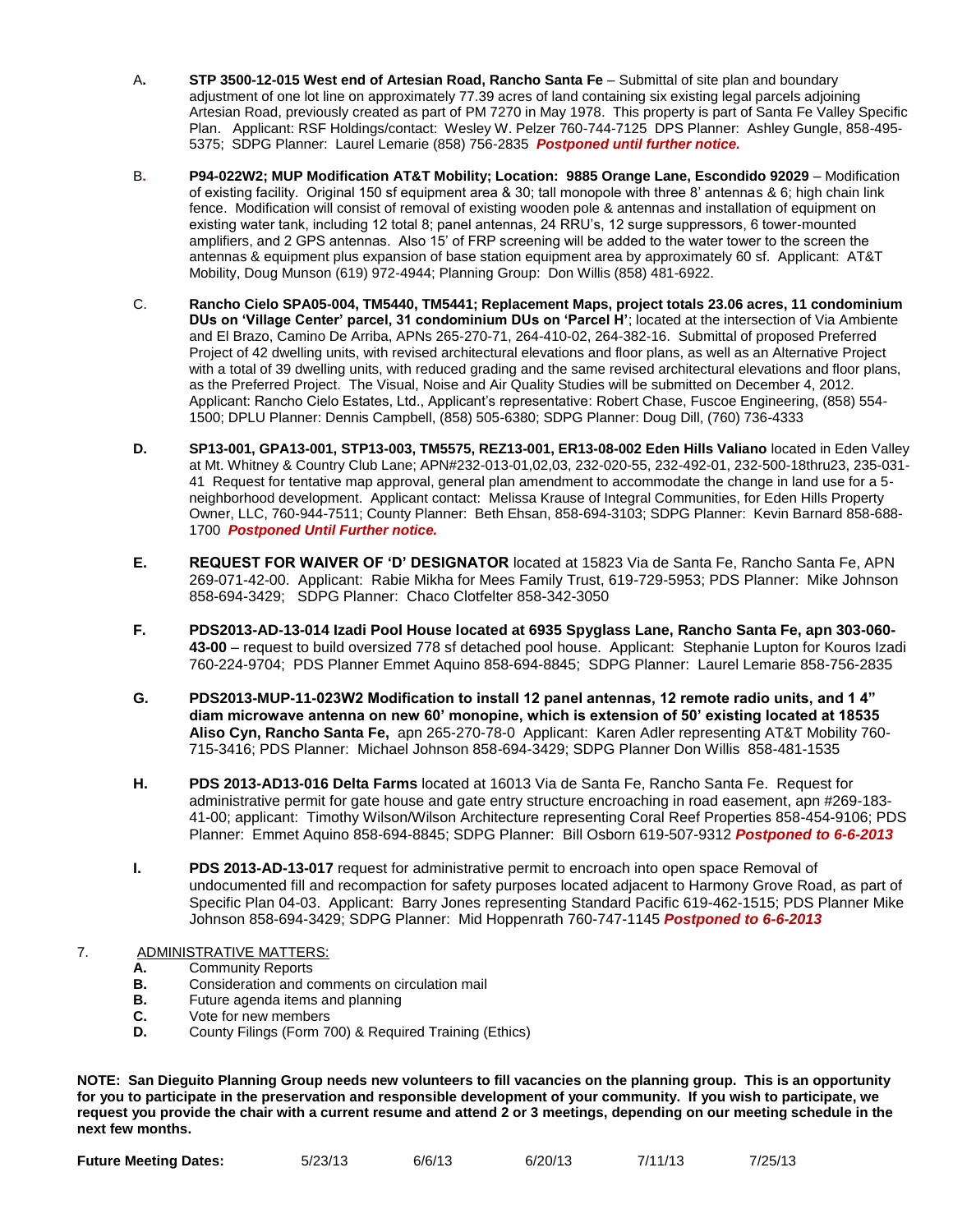- A**. STP 3500-12-015 West end of Artesian Road, Rancho Santa Fe** Submittal of site plan and boundary adjustment of one lot line on approximately 77.39 acres of land containing six existing legal parcels adjoining Artesian Road, previously created as part of PM 7270 in May 1978. This property is part of Santa Fe Valley Specific Plan.Applicant: RSF Holdings/contact: Wesley W. Pelzer 760-744-7125 DPS Planner: Ashley Gungle, 858-495- 5375; SDPG Planner: Laurel Lemarie (858) 756-2835 *Postponed until further notice.*
- B**. P94-022W2; MUP Modification AT&T Mobility; Location: 9885 Orange Lane, Escondido 92029** Modification of existing facility. Original 150 sf equipment area & 30; tall monopole with three 8' antennas & 6; high chain link fence. Modification will consist of removal of existing wooden pole & antennas and installation of equipment on existing water tank, including 12 total 8; panel antennas, 24 RRU's, 12 surge suppressors, 6 tower-mounted amplifiers, and 2 GPS antennas. Also 15' of FRP screening will be added to the water tower to the screen the antennas & equipment plus expansion of base station equipment area by approximately 60 sf. Applicant: AT&T Mobility, Doug Munson (619) 972-4944; Planning Group: Don Willis (858) 481-6922.
- C. **Rancho Cielo SPA05-004, TM5440, TM5441; Replacement Maps, project totals 23.06 acres, 11 condominium DUs on 'Village Center' parcel, 31 condominium DUs on 'Parcel H'**; located at the intersection of Via Ambiente and El Brazo, Camino De Arriba, APNs 265-270-71, 264-410-02, 264-382-16. Submittal of proposed Preferred Project of 42 dwelling units, with revised architectural elevations and floor plans, as well as an Alternative Project with a total of 39 dwelling units, with reduced grading and the same revised architectural elevations and floor plans, as the Preferred Project. The Visual, Noise and Air Quality Studies will be submitted on December 4, 2012. Applicant: Rancho Cielo Estates, Ltd., Applicant's representative: Robert Chase, Fuscoe Engineering, (858) 554- 1500; DPLU Planner: Dennis Campbell, (858) 505-6380; SDPG Planner: Doug Dill, (760) 736-4333
- **D. SP13-001, GPA13-001, STP13-003, TM5575, REZ13-001, ER13-08-002 Eden Hills Valiano** located in Eden Valley at Mt. Whitney & Country Club Lane; APN#232-013-01,02,03, 232-020-55, 232-492-01, 232-500-18thru23, 235-031- 41 Request for tentative map approval, general plan amendment to accommodate the change in land use for a 5 neighborhood development. Applicant contact: Melissa Krause of Integral Communities, for Eden Hills Property Owner, LLC, 760-944-7511; County Planner: Beth Ehsan, 858-694-3103; SDPG Planner: Kevin Barnard 858-688- 1700 *Postponed Until Further notice.*
- **E. REQUEST FOR WAIVER OF 'D' DESIGNATOR** located at 15823 Via de Santa Fe, Rancho Santa Fe, APN 269-071-42-00. Applicant: Rabie Mikha for Mees Family Trust, 619-729-5953; PDS Planner: Mike Johnson 858-694-3429; SDPG Planner: Chaco Clotfelter 858-342-3050
- **F. PDS2013-AD-13-014 Izadi Pool House located at 6935 Spyglass Lane, Rancho Santa Fe, apn 303-060- 43-00** – request to build oversized 778 sf detached pool house. Applicant: Stephanie Lupton for Kouros Izadi 760-224-9704; PDS Planner Emmet Aquino 858-694-8845; SDPG Planner: Laurel Lemarie 858-756-2835
- **G. PDS2013-MUP-11-023W2 Modification to install 12 panel antennas, 12 remote radio units, and 1 4" diam microwave antenna on new 60' monopine, which is extension of 50' existing located at 18535 Aliso Cyn, Rancho Santa Fe,** apn 265-270-78-0 Applicant: Karen Adler representing AT&T Mobility 760- 715-3416; PDS Planner: Michael Johnson 858-694-3429; SDPG Planner Don Willis 858-481-1535
- **H. PDS 2013-AD13-016 Delta Farms** located at 16013 Via de Santa Fe, Rancho Santa Fe. Request for administrative permit for gate house and gate entry structure encroaching in road easement, apn #269-183- 41-00; applicant: Timothy Wilson/Wilson Architecture representing Coral Reef Properties 858-454-9106; PDS Planner: Emmet Aquino 858-694-8845; SDPG Planner: Bill Osborn 619-507-9312 *Postponed to 6-6-2013*
- **I. PDS 2013-AD-13-017** request for administrative permit to encroach into open space Removal of undocumented fill and recompaction for safety purposes located adjacent to Harmony Grove Road, as part of Specific Plan 04-03. Applicant: Barry Jones representing Standard Pacific 619-462-1515; PDS Planner Mike Johnson 858-694-3429; SDPG Planner: Mid Hoppenrath 760-747-1145 *Postponed to 6-6-2013*

## 7. ADMINISTRATIVE MATTERS:

- **A.** Community Reports
- **B.** Consideration and comments on circulation mail<br>**B.** Future agenda items and planning
- **B.** Future agenda items and planning
- **C.** Vote for new members
- **D.** County Filings (Form 700) & Required Training (Ethics)

**NOTE: San Dieguito Planning Group needs new volunteers to fill vacancies on the planning group. This is an opportunity for you to participate in the preservation and responsible development of your community. If you wish to participate, we request you provide the chair with a current resume and attend 2 or 3 meetings, depending on our meeting schedule in the next few months.**

|                              |         | 6/6/13 | 6/20/13 | 7/11/13 | 7/25/13 |
|------------------------------|---------|--------|---------|---------|---------|
| <b>Future Meeting Dates:</b> | 5/23/13 |        |         |         |         |